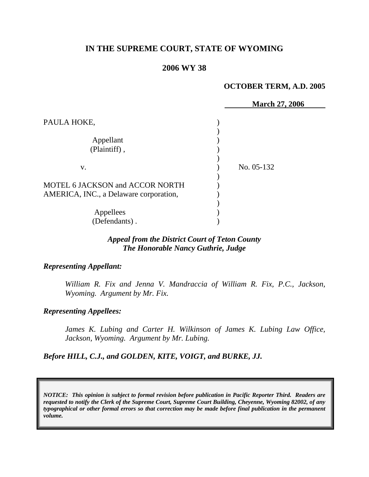# **IN THE SUPREME COURT, STATE OF WYOMING**

## **2006 WY 38**

### **OCTOBER TERM, A.D. 2005**

|                                        | <b>March 27, 2006</b> |
|----------------------------------------|-----------------------|
| PAULA HOKE,                            |                       |
|                                        |                       |
| Appellant                              |                       |
| (Plaintiff),                           |                       |
|                                        |                       |
| V.                                     | No. 05-132            |
|                                        |                       |
| <b>MOTEL 6 JACKSON and ACCOR NORTH</b> |                       |
| AMERICA, INC., a Delaware corporation, |                       |
|                                        |                       |
| Appellees                              |                       |
| (Defendants).                          |                       |

### *Appeal from the District Court of Teton County The Honorable Nancy Guthrie, Judge*

#### *Representing Appellant:*

*William R. Fix and Jenna V. Mandraccia of William R. Fix, P.C., Jackson, Wyoming. Argument by Mr. Fix.* 

#### *Representing Appellees:*

James K. Lubing and Carter H. Wilkinson of James K. Lubing Law Office, *Jackson, Wyoming. Argument by Mr. Lubing.* 

### *Before HILL, C.J., and GOLDEN, KITE, VOIGT, and BURKE, JJ.*

*NOTICE: This opinion is subject to formal revision before publication in Pacific Reporter Third. Readers are requested to notify the Clerk of the Supreme Court, Supreme Court Building, Cheyenne, Wyoming 82002, of any typographical or other formal errors so that correction may be made before final publication in the permanent volume.*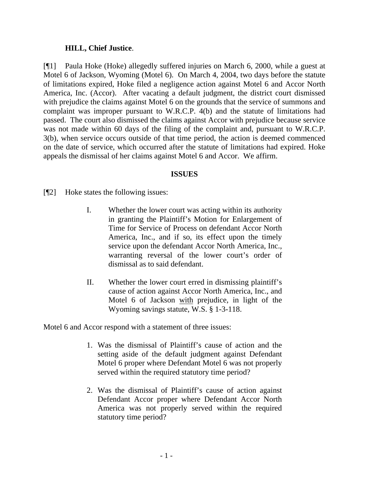### **HILL, Chief Justice**.

[¶1] Paula Hoke (Hoke) allegedly suffered injuries on March 6, 2000, while a guest at Motel 6 of Jackson, Wyoming (Motel 6). On March 4, 2004, two days before the statute of limitations expired, Hoke filed a negligence action against Motel 6 and Accor North America, Inc. (Accor). After vacating a default judgment, the district court dismissed with prejudice the claims against Motel 6 on the grounds that the service of summons and complaint was improper pursuant to W.R.C.P. 4(b) and the statute of limitations had passed. The court also dismissed the claims against Accor with prejudice because service was not made within 60 days of the filing of the complaint and, pursuant to W.R.C.P. 3(b), when service occurs outside of that time period, the action is deemed commenced on the date of service, which occurred after the statute of limitations had expired. Hoke appeals the dismissal of her claims against Motel 6 and Accor. We affirm.

### **ISSUES**

[¶2] Hoke states the following issues:

- I. Whether the lower court was acting within its authority in granting the Plaintiff's Motion for Enlargement of Time for Service of Process on defendant Accor North America, Inc., and if so, its effect upon the timely service upon the defendant Accor North America, Inc., warranting reversal of the lower court's order of dismissal as to said defendant.
- II. Whether the lower court erred in dismissing plaintiff's cause of action against Accor North America, Inc., and Motel 6 of Jackson with prejudice, in light of the Wyoming savings statute, W.S. § 1-3-118.

Motel 6 and Accor respond with a statement of three issues:

- 1. Was the dismissal of Plaintiff's cause of action and the setting aside of the default judgment against Defendant Motel 6 proper where Defendant Motel 6 was not properly served within the required statutory time period?
- 2. Was the dismissal of Plaintiff's cause of action against Defendant Accor proper where Defendant Accor North America was not properly served within the required statutory time period?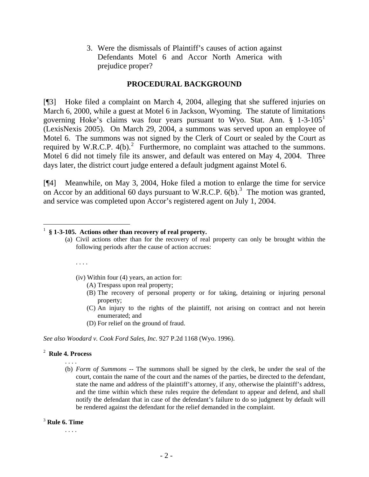3. Were the dismissals of Plaintiff's causes of action against Defendants Motel 6 and Accor North America with prejudice proper?

## **PROCEDURAL BACKGROUND**

[¶3] Hoke filed a complaint on March 4, 2004, alleging that she suffered injuries on March 6, 2000, while a guest at Motel 6 in Jackson, Wyoming. The statute of limitations governing Hoke's claims was four years pursuant to Wyo. Stat. Ann.  $\S$  [1](#page-3-0)-3-105<sup>1</sup> (LexisNexis 2005). On March 29, 2004, a summons was served upon an employee of Motel 6. The summons was not signed by the Clerk of Court or sealed by the Court as required by W.R.C.P.  $4(b)^2$  $4(b)^2$ . Furthermore, no complaint was attached to the summons. Motel 6 did not timely file its answer, and default was entered on May 4, 2004. Three days later, the district court judge entered a default judgment against Motel 6.

[¶4] Meanwhile, on May 3, 2004, Hoke filed a motion to enlarge the time for service on Accor by an additional 60 days pursuant to W.R.C.P.  $6(b)$ .<sup>[3](#page-3-2)</sup> The motion was granted, and service was completed upon Accor's registered agent on July 1, 2004.

#### <span id="page-3-0"></span> $\overline{a}$ 1 **§ 1-3-105. Actions other than recovery of real property.**

(a) Civil actions other than for the recovery of real property can only be brought within the following periods after the cause of action accrues:

. . . .

(iv) Within four (4) years, an action for:

- (A) Trespass upon real property;
- (B) The recovery of personal property or for taking, detaining or injuring personal property;
- (C) An injury to the rights of the plaintiff, not arising on contract and not herein enumerated; and
- (D) For relief on the ground of fraud.

*See also Woodard v. Cook Ford Sales, Inc.* 927 P.2d 1168 (Wyo. 1996).

#### <span id="page-3-1"></span>2 **Rule 4. Process** . . . .

(b) *Form of Summons --* The summons shall be signed by the clerk, be under the seal of the court, contain the name of the court and the names of the parties, be directed to the defendant, state the name and address of the plaintiff's attorney, if any, otherwise the plaintiff's address, and the time within which these rules require the defendant to appear and defend, and shall notify the defendant that in case of the defendant's failure to do so judgment by default will be rendered against the defendant for the relief demanded in the complaint.

### <span id="page-3-2"></span><sup>3</sup> **Rule 6. Time**

. . . .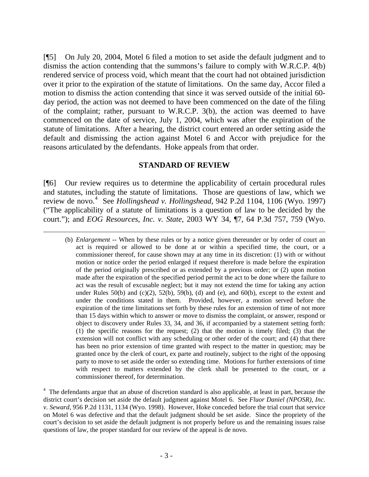[¶5] On July 20, 2004, Motel 6 filed a motion to set aside the default judgment and to dismiss the action contending that the summons's failure to comply with W.R.C.P. 4(b) rendered service of process void, which meant that the court had not obtained jurisdiction over it prior to the expiration of the statute of limitations. On the same day, Accor filed a motion to dismiss the action contending that since it was served outside of the initial 60 day period, the action was not deemed to have been commenced on the date of the filing of the complaint; rather, pursuant to W.R.C.P. 3(b), the action was deemed to have commenced on the date of service, July 1, 2004, which was after the expiration of the statute of limitations. After a hearing, the district court entered an order setting aside the default and dismissing the action against Motel 6 and Accor with prejudice for the reasons articulated by the defendants. Hoke appeals from that order.

### **STANDARD OF REVIEW**

[¶6] Our review requires us to determine the applicability of certain procedural rules and statutes, including the statute of limitations. Those are questions of law, which we review de novo.<sup>[4](#page-4-0)</sup> See *Hollingshead v. Hollingshead*, 942 P.2d 1104, 1106 (Wyo. 1997) ("The applicability of a statute of limitations is a question of law to be decided by the court."); and *EOG Resources, Inc. v. State*, 2003 WY 34, ¶7, 64 P.3d 757, 759 (Wyo.

l

(b) *Enlargement* -- When by these rules or by a notice given thereunder or by order of court an act is required or allowed to be done at or within a specified time, the court, or a commissioner thereof, for cause shown may at any time in its discretion: (1) with or without motion or notice order the period enlarged if request therefore is made before the expiration of the period originally prescribed or as extended by a previous order; or (2) upon motion made after the expiration of the specified period permit the act to be done where the failure to act was the result of excusable neglect; but it may not extend the time for taking any action under Rules  $50(b)$  and  $(c)(2)$ ,  $52(b)$ ,  $59(b)$ ,  $(d)$  and  $(e)$ , and  $60(b)$ , except to the extent and under the conditions stated in them. Provided, however, a motion served before the expiration of the time limitations set forth by these rules for an extension of time of not more than 15 days within which to answer or move to dismiss the complaint, or answer, respond or object to discovery under Rules 33, 34, and 36, if accompanied by a statement setting forth: (1) the specific reasons for the request; (2) that the motion is timely filed; (3) that the extension will not conflict with any scheduling or other order of the court; and (4) that there has been no prior extension of time granted with respect to the matter in question; may be granted once by the clerk of court, ex parte and routinely, subject to the right of the opposing party to move to set aside the order so extending time. Motions for further extensions of time with respect to matters extended by the clerk shall be presented to the court, or a commissioner thereof, for determination.

<span id="page-4-0"></span><sup>4</sup> The defendants argue that an abuse of discretion standard is also applicable, at least in part, because the district court's decision set aside the default judgment against Motel 6. See *Fluor Daniel (NPOSR), Inc. v. Seward*, 956 P.2d 1131, 1134 (Wyo. 1998). However, Hoke conceded before the trial court that service on Motel 6 was defective and that the default judgment should be set aside. Since the propriety of the court's decision to set aside the default judgment is not properly before us and the remaining issues raise questions of law, the proper standard for our review of the appeal is de novo.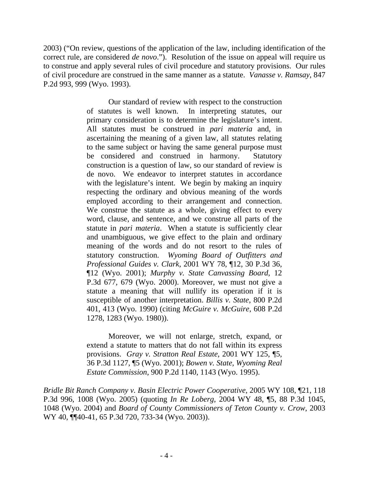2003) ("On review, questions of the application of the law, including identification of the correct rule, are considered *de novo*."). Resolution of the issue on appeal will require us to construe and apply several rules of civil procedure and statutory provisions. Our rules of civil procedure are construed in the same manner as a statute. *Vanasse v. Ramsay*, 847 P.2d 993, 999 (Wyo. 1993).

> Our standard of review with respect to the construction of statutes is well known. In interpreting statutes, our primary consideration is to determine the legislature's intent. All statutes must be construed in *pari materia* and, in ascertaining the meaning of a given law, all statutes relating to the same subject or having the same general purpose must be considered and construed in harmony. Statutory construction is a question of law, so our standard of review is de novo. We endeavor to interpret statutes in accordance with the legislature's intent. We begin by making an inquiry respecting the ordinary and obvious meaning of the words employed according to their arrangement and connection. We construe the statute as a whole, giving effect to every word, clause, and sentence, and we construe all parts of the statute in *pari materia*. When a statute is sufficiently clear and unambiguous, we give effect to the plain and ordinary meaning of the words and do not resort to the rules of statutory construction. *Wyoming Board of Outfitters and Professional Guides v. Clark*, 2001 WY 78, ¶12, 30 P.3d 36, ¶12 (Wyo. 2001); *Murphy v. State Canvassing Board*, 12 P.3d 677, 679 (Wyo. 2000). Moreover, we must not give a statute a meaning that will nullify its operation if it is susceptible of another interpretation. *Billis v. State*, 800 P.2d 401, 413 (Wyo. 1990) (citing *McGuire v. McGuire*, 608 P.2d 1278, 1283 (Wyo. 1980)).

> Moreover, we will not enlarge, stretch, expand, or extend a statute to matters that do not fall within its express provisions. *Gray v. Stratton Real Estate*, 2001 WY 125, ¶5, 36 P.3d 1127, ¶5 (Wyo. 2001); *Bowen v. State, Wyoming Real Estate Commission*, 900 P.2d 1140, 1143 (Wyo. 1995).

*Bridle Bit Ranch Company v. Basin Electric Power Cooperative*, 2005 WY 108, ¶21, 118 P.3d 996, 1008 (Wyo. 2005) (quoting *In Re Loberg*, 2004 WY 48, ¶5, 88 P.3d 1045, 1048 (Wyo. 2004) and *Board of County Commissioners of Teton County v. Crow*, 2003 WY 40, ¶¶40-41, 65 P.3d 720, 733-34 (Wyo. 2003)).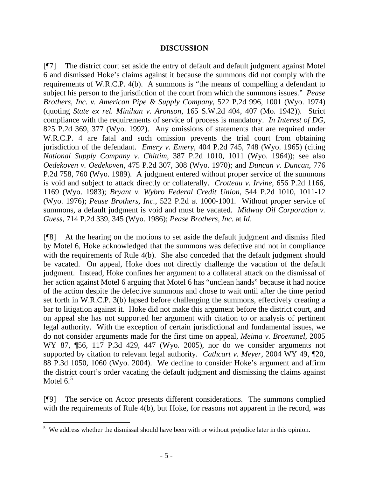### **DISCUSSION**

[¶7] The district court set aside the entry of default and default judgment against Motel 6 and dismissed Hoke's claims against it because the summons did not comply with the requirements of W.R.C.P. 4(b). A summons is "the means of compelling a defendant to subject his person to the jurisdiction of the court from which the summons issues." *Pease Brothers, Inc. v. American Pipe & Supply Company*, 522 P.2d 996, 1001 (Wyo. 1974) (quoting *State ex rel. Minihan v. Aronson*, 165 S.W.2d 404, 407 (Mo. 1942)). Strict compliance with the requirements of service of process is mandatory. *In Interest of DG*, 825 P.2d 369, 377 (Wyo. 1992). Any omissions of statements that are required under W.R.C.P. 4 are fatal and such omission prevents the trial court from obtaining jurisdiction of the defendant. *Emery v. Emery*, 404 P.2d 745, 748 (Wyo. 1965) (citing *National Supply Company v. Chittim*, 387 P.2d 1010, 1011 (Wyo. 1964)); see also *Oedekoven v. Oedekoven*, 475 P.2d 307, 308 (Wyo. 1970); and *Duncan v. Duncan*, 776 P.2d 758, 760 (Wyo. 1989). A judgment entered without proper service of the summons is void and subject to attack directly or collaterally. *Crotteau v. Irvine*, 656 P.2d 1166, 1169 (Wyo. 1983); *Bryant v. Wybro Federal Credit Union*, 544 P.2d 1010, 1011-12 (Wyo. 1976); *Pease Brothers, Inc.*, 522 P.2d at 1000-1001. Without proper service of summons, a default judgment is void and must be vacated. *Midway Oil Corporation v. Guess*, 714 P.2d 339, 345 (Wyo. 1986); *Pease Brothers, Inc.* at *Id*.

[¶8] At the hearing on the motions to set aside the default judgment and dismiss filed by Motel 6, Hoke acknowledged that the summons was defective and not in compliance with the requirements of Rule 4(b). She also conceded that the default judgment should be vacated. On appeal, Hoke does not directly challenge the vacation of the default judgment. Instead, Hoke confines her argument to a collateral attack on the dismissal of her action against Motel 6 arguing that Motel 6 has "unclean hands" because it had notice of the action despite the defective summons and chose to wait until after the time period set forth in W.R.C.P. 3(b) lapsed before challenging the summons, effectively creating a bar to litigation against it. Hoke did not make this argument before the district court, and on appeal she has not supported her argument with citation to or analysis of pertinent legal authority. With the exception of certain jurisdictional and fundamental issues, we do not consider arguments made for the first time on appeal, *Meima v. Broemmel*, 2005 WY 87, ¶56, 117 P.3d 429, 447 (Wyo. 2005), nor do we consider arguments not supported by citation to relevant legal authority. *Cathcart v. Meyer*, 2004 WY 49, ¶20, 88 P.3d 1050, 1060 (Wyo. 2004). We decline to consider Hoke's argument and affirm the district court's order vacating the default judgment and dismissing the claims against Motel  $6<sup>5</sup>$  $6<sup>5</sup>$  $6<sup>5</sup>$ 

[¶9] The service on Accor presents different considerations. The summons complied with the requirements of Rule 4(b), but Hoke, for reasons not apparent in the record, was

 $\overline{a}$ 

<span id="page-6-0"></span> $5$  We address whether the dismissal should have been with or without prejudice later in this opinion.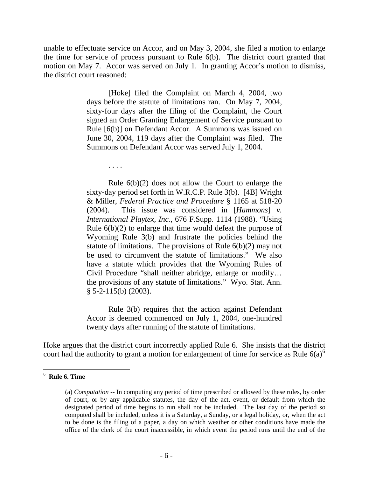unable to effectuate service on Accor, and on May 3, 2004, she filed a motion to enlarge the time for service of process pursuant to Rule 6(b). The district court granted that motion on May 7. Accor was served on July 1. In granting Accor's motion to dismiss, the district court reasoned:

> [Hoke] filed the Complaint on March 4, 2004, two days before the statute of limitations ran. On May 7, 2004, sixty-four days after the filing of the Complaint, the Court signed an Order Granting Enlargement of Service pursuant to Rule [6(b)] on Defendant Accor. A Summons was issued on June 30, 2004, 119 days after the Complaint was filed. The Summons on Defendant Accor was served July 1, 2004.

> > . . . .

Rule 6(b)(2) does not allow the Court to enlarge the sixty-day period set forth in W.R.C.P. Rule 3(b). [4B] Wright & Miller, *Federal Practice and Procedure* § 1165 at 518-20 (2004). This issue was considered in [*Hammons*] *v. International Playtex, Inc.*, 676 F.Supp. 1114 (1988). "Using Rule 6(b)(2) to enlarge that time would defeat the purpose of Wyoming Rule 3(b) and frustrate the policies behind the statute of limitations. The provisions of Rule  $6(b)(2)$  may not be used to circumvent the statute of limitations." We also have a statute which provides that the Wyoming Rules of Civil Procedure "shall neither abridge, enlarge or modify… the provisions of any statute of limitations." Wyo. Stat. Ann. § 5-2-115(b) (2003).

Rule 3(b) requires that the action against Defendant Accor is deemed commenced on July 1, 2004, one-hundred twenty days after running of the statute of limitations.

Hoke argues that the district court incorrectly applied Rule 6. She insists that the district court had the authority to grant a motion for enlargement of time for service as Rule  $6(a)^6$  $6(a)^6$ 

 $\overline{a}$ 

<span id="page-7-0"></span><sup>6</sup> **Rule 6. Time**

<sup>(</sup>a) *Computation* -- In computing any period of time prescribed or allowed by these rules, by order of court, or by any applicable statutes, the day of the act, event, or default from which the designated period of time begins to run shall not be included. The last day of the period so computed shall be included, unless it is a Saturday, a Sunday, or a legal holiday, or, when the act to be done is the filing of a paper, a day on which weather or other conditions have made the office of the clerk of the court inaccessible, in which event the period runs until the end of the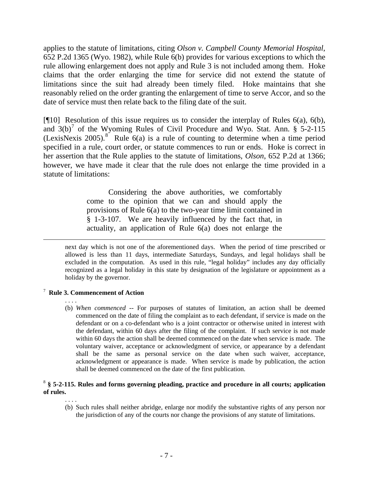applies to the statute of limitations, citing *Olson v. Campbell County Memorial Hospital*, 652 P.2d 1365 (Wyo. 1982), while Rule 6(b) provides for various exceptions to which the rule allowing enlargement does not apply and Rule 3 is not included among them. Hoke claims that the order enlarging the time for service did not extend the statute of limitations since the suit had already been timely filed. Hoke maintains that she reasonably relied on the order granting the enlargement of time to serve Accor, and so the date of service must then relate back to the filing date of the suit.

[ $[$ [10] Resolution of this issue requires us to consider the interplay of Rules 6(a), 6(b), and  $3(b)^7$  $3(b)^7$  of the Wyoming Rules of Civil Procedure and Wyo. Stat. Ann. § 5-2-115 (LexisNexis 2005).<sup>[8](#page-8-1)</sup> Rule  $6(a)$  is a rule of counting to determine when a time period specified in a rule, court order, or statute commences to run or ends. Hoke is correct in her assertion that the Rule applies to the statute of limitations, *Olson*, 652 P.2d at 1366; however, we have made it clear that the rule does not enlarge the time provided in a statute of limitations:

> Considering the above authorities, we comfortably come to the opinion that we can and should apply the provisions of Rule 6(a) to the two-year time limit contained in § 1-3-107. We are heavily influenced by the fact that, in actuality, an application of Rule 6(a) does not enlarge the

next day which is not one of the aforementioned days. When the period of time prescribed or allowed is less than 11 days, intermediate Saturdays, Sundays, and legal holidays shall be excluded in the computation. As used in this rule, "legal holiday" includes any day officially recognized as a legal holiday in this state by designation of the legislature or appointment as a holiday by the governor.

### <span id="page-8-0"></span>7 **Rule 3. Commencement of Action**

 . . . . (b) *When commenced* -- For purposes of statutes of limitation, an action shall be deemed commenced on the date of filing the complaint as to each defendant, if service is made on the defendant or on a co-defendant who is a joint contractor or otherwise united in interest with the defendant, within 60 days after the filing of the complaint. If such service is not made within 60 days the action shall be deemed commenced on the date when service is made. The voluntary waiver, acceptance or acknowledgment of service, or appearance by a defendant shall be the same as personal service on the date when such waiver, acceptance, acknowledgment or appearance is made. When service is made by publication, the action shall be deemed commenced on the date of the first publication.

#### <span id="page-8-1"></span><sup>8</sup> **§ 5-2-115. Rules and forms governing pleading, practice and procedure in all courts; application of rules.**

. . . .

(b) Such rules shall neither abridge, enlarge nor modify the substantive rights of any person nor the jurisdiction of any of the courts nor change the provisions of any statute of limitations.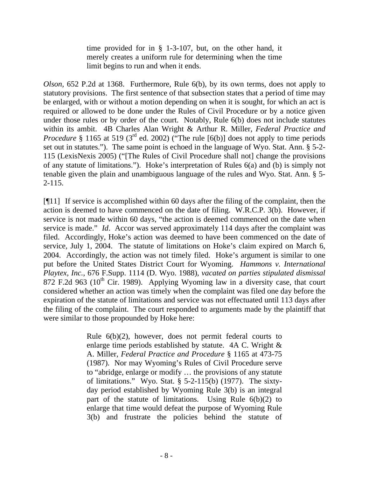time provided for in § 1-3-107, but, on the other hand, it merely creates a uniform rule for determining when the time limit begins to run and when it ends.

*Olson*, 652 P.2d at 1368. Furthermore, Rule 6(b), by its own terms, does not apply to statutory provisions. The first sentence of that subsection states that a period of time may be enlarged, with or without a motion depending on when it is sought, for which an act is required or allowed to be done under the Rules of Civil Procedure or by a notice given under those rules or by order of the court. Notably, Rule 6(b) does not include statutes within its ambit. 4B Charles Alan Wright & Arthur R. Miller, *Federal Practice and Procedure* § 1165 at 519 (3<sup>rd</sup> ed. 2002) ("The rule [6(b)] does not apply to time periods set out in statutes."). The same point is echoed in the language of Wyo. Stat. Ann. § 5-2- 115 (LexisNexis 2005) ("[The Rules of Civil Procedure shall not] change the provisions of any statute of limitations."). Hoke's interpretation of Rules 6(a) and (b) is simply not tenable given the plain and unambiguous language of the rules and Wyo. Stat. Ann. § 5- 2-115.

[¶11] If service is accomplished within 60 days after the filing of the complaint, then the action is deemed to have commenced on the date of filing. W.R.C.P. 3(b). However, if service is not made within 60 days, "the action is deemed commenced on the date when service is made." *Id*. Accor was served approximately 114 days after the complaint was filed. Accordingly, Hoke's action was deemed to have been commenced on the date of service, July 1, 2004. The statute of limitations on Hoke's claim expired on March 6, 2004. Accordingly, the action was not timely filed. Hoke's argument is similar to one put before the United States District Court for Wyoming. *Hammons v. International Playtex, Inc.*, 676 F.Supp. 1114 (D. Wyo. 1988), *vacated on parties stipulated dismissal* 872 F.2d 963 ( $10^{th}$  Cir. 1989). Applying Wyoming law in a diversity case, that court considered whether an action was timely when the complaint was filed one day before the expiration of the statute of limitations and service was not effectuated until 113 days after the filing of the complaint. The court responded to arguments made by the plaintiff that were similar to those propounded by Hoke here:

> Rule 6(b)(2), however, does not permit federal courts to enlarge time periods established by statute. 4A C. Wright & A. Miller, *Federal Practice and Procedure* § 1165 at 473-75 (1987). Nor may Wyoming's Rules of Civil Procedure serve to "abridge, enlarge or modify … the provisions of any statute of limitations." Wyo. Stat. § 5-2-115(b) (1977). The sixtyday period established by Wyoming Rule 3(b) is an integral part of the statute of limitations. Using Rule 6(b)(2) to enlarge that time would defeat the purpose of Wyoming Rule 3(b) and frustrate the policies behind the statute of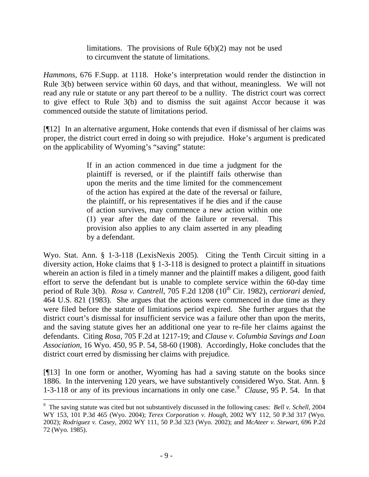limitations. The provisions of Rule 6(b)(2) may not be used to circumvent the statute of limitations.

*Hammons,* 676 F.Supp. at 1118. Hoke's interpretation would render the distinction in Rule 3(b) between service within 60 days, and that without, meaningless. We will not read any rule or statute or any part thereof to be a nullity. The district court was correct to give effect to Rule 3(b) and to dismiss the suit against Accor because it was commenced outside the statute of limitations period.

[¶12] In an alternative argument, Hoke contends that even if dismissal of her claims was proper, the district court erred in doing so with prejudice. Hoke's argument is predicated on the applicability of Wyoming's "saving" statute:

> If in an action commenced in due time a judgment for the plaintiff is reversed, or if the plaintiff fails otherwise than upon the merits and the time limited for the commencement of the action has expired at the date of the reversal or failure, the plaintiff, or his representatives if he dies and if the cause of action survives, may commence a new action within one (1) year after the date of the failure or reversal. This provision also applies to any claim asserted in any pleading by a defendant.

Wyo. Stat. Ann. § 1-3-118 (LexisNexis 2005). Citing the Tenth Circuit sitting in a diversity action, Hoke claims that § 1-3-118 is designed to protect a plaintiff in situations wherein an action is filed in a timely manner and the plaintiff makes a diligent, good faith effort to serve the defendant but is unable to complete service within the 60-day time period of Rule 3(b). *Rosa v. Cantrell*, 705 F.2d 1208 (10<sup>th</sup> Cir. 1982), *certiorari denied*, 464 U.S. 821 (1983). She argues that the actions were commenced in due time as they were filed before the statute of limitations period expired. She further argues that the district court's dismissal for insufficient service was a failure other than upon the merits, and the saving statute gives her an additional one year to re-file her claims against the defendants. Citing *Rosa*, 705 F.2d at 1217-19; and *Clause v. Columbia Savings and Loan Association*, 16 Wyo. 450, 95 P. 54, 58-60 (1908). Accordingly, Hoke concludes that the district court erred by dismissing her claims with prejudice.

[¶13] In one form or another, Wyoming has had a saving statute on the books since 1886. In the intervening 120 years, we have substantively considered Wyo. Stat. Ann. § 1-3-118 or any of its previous incarnations in only one case.<sup>[9](#page-10-0)</sup> Clause, 95 P. 54. In that

l

<span id="page-10-0"></span><sup>&</sup>lt;sup>9</sup> The saving statute was cited but not substantively discussed in the following cases: *Bell v. Schell*, 2004 WY 153, 101 P.3d 465 (Wyo. 2004); *Terex Corporation v. Hough*, 2002 WY 112, 50 P.3d 317 (Wyo. 2002); *Rodriguez v. Casey*, 2002 WY 111, 50 P.3d 323 (Wyo. 2002); and *McAteer v. Stewart*, 696 P.2d 72 (Wyo. 1985).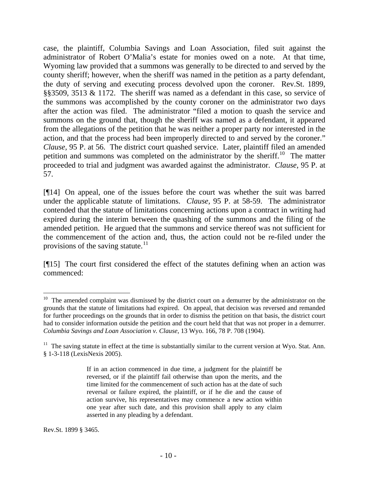case, the plaintiff, Columbia Savings and Loan Association, filed suit against the administrator of Robert O'Malia's estate for monies owed on a note. At that time, Wyoming law provided that a summons was generally to be directed to and served by the county sheriff; however, when the sheriff was named in the petition as a party defendant, the duty of serving and executing process devolved upon the coroner. Rev.St. 1899, §§3509, 3513 & 1172. The sheriff was named as a defendant in this case, so service of the summons was accomplished by the county coroner on the administrator two days after the action was filed. The administrator "filed a motion to quash the service and summons on the ground that, though the sheriff was named as a defendant, it appeared from the allegations of the petition that he was neither a proper party nor interested in the action, and that the process had been improperly directed to and served by the coroner." *Clause,* 95 P. at 56. The district court quashed service. Later, plaintiff filed an amended petition and summons was completed on the administrator by the sheriff.<sup>[10](#page-11-0)</sup> The matter proceeded to trial and judgment was awarded against the administrator. *Clause,* 95 P. at 57.

[¶14] On appeal, one of the issues before the court was whether the suit was barred under the applicable statute of limitations. *Clause,* 95 P. at 58-59. The administrator contended that the statute of limitations concerning actions upon a contract in writing had expired during the interim between the quashing of the summons and the filing of the amended petition. He argued that the summons and service thereof was not sufficient for the commencement of the action and, thus, the action could not be re-filed under the provisions of the saving statute. $^{11}$  $^{11}$  $^{11}$ 

[¶15] The court first considered the effect of the statutes defining when an action was commenced:

<span id="page-11-0"></span> $10$  The amended complaint was dismissed by the district court on a demurrer by the administrator on the grounds that the statute of limitations had expired. On appeal, that decision was reversed and remanded for further proceedings on the grounds that in order to dismiss the petition on that basis, the district court had to consider information outside the petition and the court held that that was not proper in a demurrer. *Columbia Savings and Loan Association v. Clause*, 13 Wyo. 166, 78 P. 708 (1904).

<span id="page-11-1"></span> $11$  The saving statute in effect at the time is substantially similar to the current version at Wyo. Stat. Ann. § 1-3-118 (LexisNexis 2005).

If in an action commenced in due time, a judgment for the plaintiff be reversed, or if the plaintiff fail otherwise than upon the merits, and the time limited for the commencement of such action has at the date of such reversal or failure expired, the plaintiff, or if he die and the cause of action survive, his representatives may commence a new action within one year after such date, and this provision shall apply to any claim asserted in any pleading by a defendant.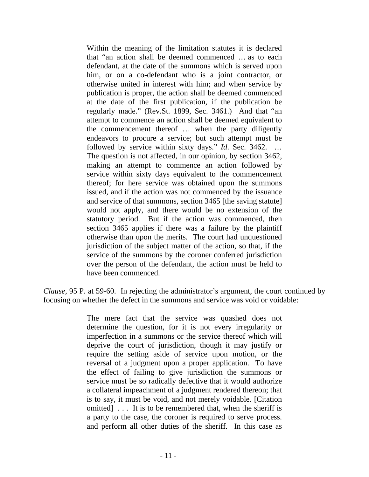Within the meaning of the limitation statutes it is declared that "an action shall be deemed commenced … as to each defendant, at the date of the summons which is served upon him, or on a co-defendant who is a joint contractor, or otherwise united in interest with him; and when service by publication is proper, the action shall be deemed commenced at the date of the first publication, if the publication be regularly made." (Rev.St. 1899, Sec. 3461.) And that "an attempt to commence an action shall be deemed equivalent to the commencement thereof … when the party diligently endeavors to procure a service; but such attempt must be followed by service within sixty days." *Id*. Sec. 3462. … The question is not affected, in our opinion, by section 3462, making an attempt to commence an action followed by service within sixty days equivalent to the commencement thereof; for here service was obtained upon the summons issued, and if the action was not commenced by the issuance and service of that summons, section 3465 [the saving statute] would not apply, and there would be no extension of the statutory period. But if the action was commenced, then section 3465 applies if there was a failure by the plaintiff otherwise than upon the merits. The court had unquestioned jurisdiction of the subject matter of the action, so that, if the service of the summons by the coroner conferred jurisdiction over the person of the defendant, the action must be held to have been commenced.

*Clause,* 95 P. at 59-60. In rejecting the administrator's argument, the court continued by focusing on whether the defect in the summons and service was void or voidable:

> The mere fact that the service was quashed does not determine the question, for it is not every irregularity or imperfection in a summons or the service thereof which will deprive the court of jurisdiction, though it may justify or require the setting aside of service upon motion, or the reversal of a judgment upon a proper application. To have the effect of failing to give jurisdiction the summons or service must be so radically defective that it would authorize a collateral impeachment of a judgment rendered thereon; that is to say, it must be void, and not merely voidable. [Citation omitted] . . . It is to be remembered that, when the sheriff is a party to the case, the coroner is required to serve process. and perform all other duties of the sheriff. In this case as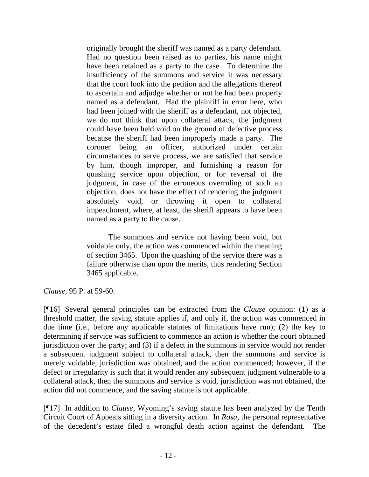originally brought the sheriff was named as a party defendant. Had no question been raised as to parties, his name might have been retained as a party to the case. To determine the insufficiency of the summons and service it was necessary that the court look into the petition and the allegations thereof to ascertain and adjudge whether or not he had been properly named as a defendant. Had the plaintiff in error here, who had been joined with the sheriff as a defendant, not objected, we do not think that upon collateral attack, the judgment could have been held void on the ground of defective process because the sheriff had been improperly made a party. The coroner being an officer, authorized under certain circumstances to serve process, we are satisfied that service by him, though improper, and furnishing a reason for quashing service upon objection, or for reversal of the judgment, in case of the erroneous overruling of such an objection, does not have the effect of rendering the judgment absolutely void, or throwing it open to collateral impeachment, where, at least, the sheriff appears to have been named as a party to the cause.

The summons and service not having been void, but voidable only, the action was commenced within the meaning of section 3465. Upon the quashing of the service there was a failure otherwise than upon the merits, thus rendering Section 3465 applicable.

*Clause,* 95 P. at 59-60.

[¶16] Several general principles can be extracted from the *Clause* opinion: (1) as a threshold matter, the saving statute applies if, and only if, the action was commenced in due time (i.e., before any applicable statutes of limitations have run); (2) the key to determining if service was sufficient to commence an action is whether the court obtained jurisdiction over the party; and (3) if a defect in the summons in service would not render a subsequent judgment subject to collateral attack, then the summons and service is merely voidable, jurisdiction was obtained, and the action commenced; however, if the defect or irregularity is such that it would render any subsequent judgment vulnerable to a collateral attack, then the summons and service is void, jurisdiction was not obtained, the action did not commence, and the saving statute is not applicable.

[¶17] In addition to *Clause*, Wyoming's saving statute has been analyzed by the Tenth Circuit Court of Appeals sitting in a diversity action. In *Rosa*, the personal representative of the decedent's estate filed a wrongful death action against the defendant. The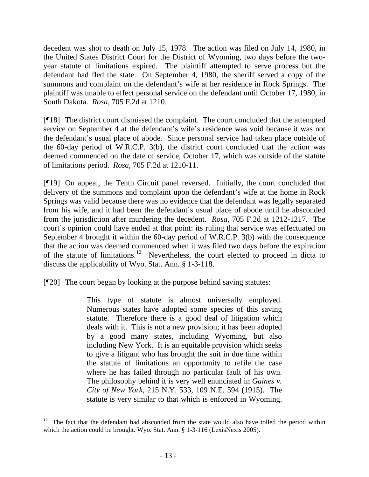decedent was shot to death on July 15, 1978. The action was filed on July 14, 1980, in the United States District Court for the District of Wyoming, two days before the twoyear statute of limitations expired. The plaintiff attempted to serve process but the defendant had fled the state. On September 4, 1980, the sheriff served a copy of the summons and complaint on the defendant's wife at her residence in Rock Springs. The plaintiff was unable to effect personal service on the defendant until October 17, 1980, in South Dakota. *Rosa,* 705 F.2d at 1210.

[¶18] The district court dismissed the complaint. The court concluded that the attempted service on September 4 at the defendant's wife's residence was void because it was not the defendant's usual place of abode. Since personal service had taken place outside of the 60-day period of W.R.C.P. 3(b), the district court concluded that the action was deemed commenced on the date of service, October 17, which was outside of the statute of limitations period. *Rosa,* 705 F.2d at 1210-11.

[¶19] On appeal, the Tenth Circuit panel reversed. Initially, the court concluded that delivery of the summons and complaint upon the defendant's wife at the home in Rock Springs was valid because there was no evidence that the defendant was legally separated from his wife, and it had been the defendant's usual place of abode until he absconded from the jurisdiction after murdering the decedent. *Rosa,* 705 F.2d at 1212-1217. The court's opinion could have ended at that point: its ruling that service was effectuated on September 4 brought it within the 60-day period of W.R.C.P. 3(b) with the consequence that the action was deemed commenced when it was filed two days before the expiration of the statute of limitations.[12](#page-14-0) Nevertheless, the court elected to proceed in dicta to discuss the applicability of Wyo. Stat. Ann. § 1-3-118.

[¶20] The court began by looking at the purpose behind saving statutes:

This type of statute is almost universally employed. Numerous states have adopted some species of this saving statute. Therefore there is a good deal of litigation which deals with it. This is not a new provision; it has been adopted by a good many states, including Wyoming, but also including New York. It is an equitable provision which seeks to give a litigant who has brought the suit in due time within the statute of limitations an opportunity to refile the case where he has failed through no particular fault of his own. The philosophy behind it is very well enunciated in *Gaines v. City of New York*, 215 N.Y. 533, 109 N.E. 594 (1915). The statute is very similar to that which is enforced in Wyoming.

<span id="page-14-0"></span> $12$  The fact that the defendant had absconded from the state would also have tolled the period within which the action could be brought. Wyo. Stat. Ann. § 1-3-116 (LexisNexis 2005).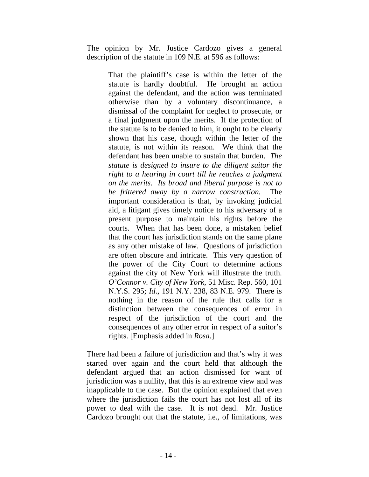The opinion by Mr. Justice Cardozo gives a general description of the statute in 109 N.E. at 596 as follows:

> That the plaintiff's case is within the letter of the statute is hardly doubtful. He brought an action against the defendant, and the action was terminated otherwise than by a voluntary discontinuance, a dismissal of the complaint for neglect to prosecute, or a final judgment upon the merits. If the protection of the statute is to be denied to him, it ought to be clearly shown that his case, though within the letter of the statute, is not within its reason. We think that the defendant has been unable to sustain that burden. *The statute is designed to insure to the diligent suitor the right to a hearing in court till he reaches a judgment on the merits. Its broad and liberal purpose is not to be frittered away by a narrow construction.* The important consideration is that, by invoking judicial aid, a litigant gives timely notice to his adversary of a present purpose to maintain his rights before the courts. When that has been done, a mistaken belief that the court has jurisdiction stands on the same plane as any other mistake of law. Questions of jurisdiction are often obscure and intricate. This very question of the power of the City Court to determine actions against the city of New York will illustrate the truth. *O'Connor v. City of New York*, 51 Misc. Rep. 560, 101 N.Y.S. 295; *Id*., 191 N.Y. 238, 83 N.E. 979. There is nothing in the reason of the rule that calls for a distinction between the consequences of error in respect of the jurisdiction of the court and the consequences of any other error in respect of a suitor's rights. [Emphasis added in *Rosa*.]

There had been a failure of jurisdiction and that's why it was started over again and the court held that although the defendant argued that an action dismissed for want of jurisdiction was a nullity, that this is an extreme view and was inapplicable to the case. But the opinion explained that even where the jurisdiction fails the court has not lost all of its power to deal with the case. It is not dead. Mr. Justice Cardozo brought out that the statute, i.e., of limitations, was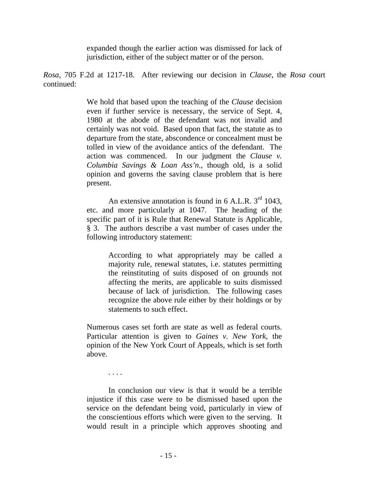expanded though the earlier action was dismissed for lack of jurisdiction, either of the subject matter or of the person.

*Rosa,* 705 F.2d at 1217-18. After reviewing our decision in *Clause*, the *Rosa* court continued:

> We hold that based upon the teaching of the *Clause* decision even if further service is necessary, the service of Sept. 4, 1980 at the abode of the defendant was not invalid and certainly was not void. Based upon that fact, the statute as to departure from the state, abscondence or concealment must be tolled in view of the avoidance antics of the defendant. The action was commenced. In our judgment the *Clause v. Columbia Savings & Loan Ass'n*., though old, is a solid opinion and governs the saving clause problem that is here present.

> An extensive annotation is found in  $6$  A.L.R.  $3<sup>rd</sup>$  1043, etc. and more particularly at 1047. The heading of the specific part of it is Rule that Renewal Statute is Applicable, § 3. The authors describe a vast number of cases under the following introductory statement:

> > According to what appropriately may be called a majority rule, renewal statutes, i.e. statutes permitting the reinstituting of suits disposed of on grounds not affecting the merits, are applicable to suits dismissed because of lack of jurisdiction. The following cases recognize the above rule either by their holdings or by statements to such effect.

Numerous cases set forth are state as well as federal courts. Particular attention is given to *Gaines v. New York*, the opinion of the New York Court of Appeals, which is set forth above.

. . . .

In conclusion our view is that it would be a terrible injustice if this case were to be dismissed based upon the service on the defendant being void, particularly in view of the conscientious efforts which were given to the serving. It would result in a principle which approves shooting and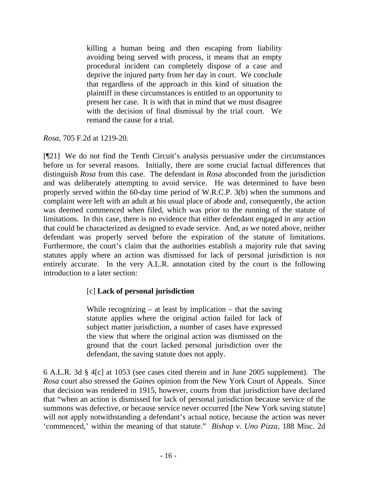killing a human being and then escaping from liability avoiding being served with process, it means that an empty procedural incident can completely dispose of a case and deprive the injured party from her day in court. We conclude that regardless of the approach in this kind of situation the plaintiff in these circumstances is entitled to an opportunity to present her case. It is with that in mind that we must disagree with the decision of final dismissal by the trial court. We remand the cause for a trial.

*Rosa,* 705 F.2d at 1219-20.

[¶21] We do not find the Tenth Circuit's analysis persuasive under the circumstances before us for several reasons. Initially, there are some crucial factual differences that distinguish *Rosa* from this case. The defendant in *Rosa* absconded from the jurisdiction and was deliberately attempting to avoid service. He was determined to have been properly served within the 60-day time period of W.R.C.P. 3(b) when the summons and complaint were left with an adult at his usual place of abode and, consequently, the action was deemed commenced when filed, which was prior to the running of the statute of limitations. In this case, there is no evidence that either defendant engaged in any action that could be characterized as designed to evade service. And, as we noted above, neither defendant was properly served before the expiration of the statute of limitations. Furthermore, the court's claim that the authorities establish a majority rule that saving statutes apply where an action was dismissed for lack of personal jurisdiction is not entirely accurate. In the very A.L.R. annotation cited by the court is the following introduction to a later section:

# [c] **Lack of personal jurisdiction**

While recognizing  $-$  at least by implication  $-$  that the saving statute applies where the original action failed for lack of subject matter jurisdiction, a number of cases have expressed the view that where the original action was dismissed on the ground that the court lacked personal jurisdiction over the defendant, the saving statute does not apply.

6 A.L.R. 3d § 4[c] at 1053 (see cases cited therein and in June 2005 supplement). The *Rosa* court also stressed the *Gaines* opinion from the New York Court of Appeals. Since that decision was rendered in 1915, however, courts from that jurisdiction have declared that "when an action is dismissed for lack of personal jurisdiction because service of the summons was defective, or because service never occurred [the New York saving statute] will not apply notwithstanding a defendant's actual notice, because the action was never 'commenced,' within the meaning of that statute." *Bishop v. Uno Pizza*, 188 Misc. 2d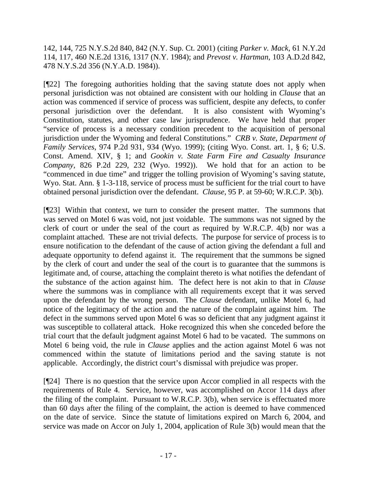142, 144, 725 N.Y.S.2d 840, 842 (N.Y. Sup. Ct. 2001) (citing *Parker v. Mack*, 61 N.Y.2d 114, 117, 460 N.E.2d 1316, 1317 (N.Y. 1984); and *Prevost v. Hartman*, 103 A.D.2d 842, 478 N.Y.S.2d 356 (N.Y.A.D. 1984)).

[¶22] The foregoing authorities holding that the saving statute does not apply when personal jurisdiction was not obtained are consistent with our holding in *Clause* that an action was commenced if service of process was sufficient, despite any defects, to confer personal jurisdiction over the defendant. It is also consistent with Wyoming's Constitution, statutes, and other case law jurisprudence. We have held that proper "service of process is a necessary condition precedent to the acquisition of personal jurisdiction under the Wyoming and federal Constitutions." *CRB v. State, Department of Family Services*, 974 P.2d 931, 934 (Wyo. 1999); (citing Wyo. Const. art. 1, § 6; U.S. Const. Amend. XIV, § 1; and *Gookin v. State Farm Fire and Casualty Insurance Company,* 826 P.2d 229, 232 (Wyo. 1992)). We hold that for an action to be "commenced in due time" and trigger the tolling provision of Wyoming's saving statute, Wyo. Stat. Ann. § 1-3-118, service of process must be sufficient for the trial court to have obtained personal jurisdiction over the defendant. *Clause*, 95 P. at 59-60; W.R.C.P. 3(b).

[¶23] Within that context, we turn to consider the present matter. The summons that was served on Motel 6 was void, not just voidable. The summons was not signed by the clerk of court or under the seal of the court as required by W.R.C.P. 4(b) nor was a complaint attached. These are not trivial defects. The purpose for service of process is to ensure notification to the defendant of the cause of action giving the defendant a full and adequate opportunity to defend against it. The requirement that the summons be signed by the clerk of court and under the seal of the court is to guarantee that the summons is legitimate and, of course, attaching the complaint thereto is what notifies the defendant of the substance of the action against him. The defect here is not akin to that in *Clause* where the summons was in compliance with all requirements except that it was served upon the defendant by the wrong person. The *Clause* defendant, unlike Motel 6, had notice of the legitimacy of the action and the nature of the complaint against him. The defect in the summons served upon Motel 6 was so deficient that any judgment against it was susceptible to collateral attack. Hoke recognized this when she conceded before the trial court that the default judgment against Motel 6 had to be vacated. The summons on Motel 6 being void, the rule in *Clause* applies and the action against Motel 6 was not commenced within the statute of limitations period and the saving statute is not applicable. Accordingly, the district court's dismissal with prejudice was proper.

[¶24] There is no question that the service upon Accor complied in all respects with the requirements of Rule 4. Service, however, was accomplished on Accor 114 days after the filing of the complaint. Pursuant to W.R.C.P. 3(b), when service is effectuated more than 60 days after the filing of the complaint, the action is deemed to have commenced on the date of service. Since the statute of limitations expired on March 6, 2004, and service was made on Accor on July 1, 2004, application of Rule 3(b) would mean that the